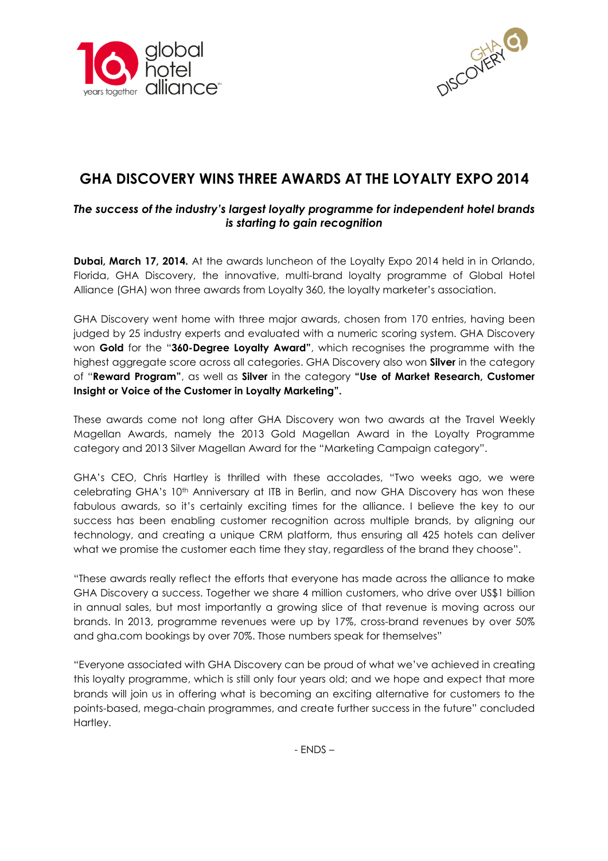



# GHA DISCOVERY WINS THREE AWARDS AT THE LOYALTY EXPO 2014

# The success of the industry's largest loyalty programme for independent hotel brands is starting to gain recognition

**Dubai, March 17, 2014.** At the awards luncheon of the Loyalty Expo 2014 held in in Orlando, Florida, GHA Discovery, the innovative, multi-brand loyalty programme of Global Hotel Alliance (GHA) won three awards from Loyalty 360, the loyalty marketer's association.

GHA Discovery went home with three major awards, chosen from 170 entries, having been judged by 25 industry experts and evaluated with a numeric scoring system. GHA Discovery won Gold for the "360-Degree Loyalty Award", which recognises the programme with the highest aggregate score across all categories. GHA Discovery also won **Silver** in the category of "Reward Program", as well as Silver in the category "Use of Market Research, Customer Insight or Voice of the Customer in Loyalty Marketing".

These awards come not long after GHA Discovery won two awards at the Travel Weekly Magellan Awards, namely the 2013 Gold Magellan Award in the Loyalty Programme category and 2013 Silver Magellan Award for the "Marketing Campaign category".

GHA's CEO, Chris Hartley is thrilled with these accolades, "Two weeks ago, we were celebrating GHA's 10<sup>th</sup> Anniversary at ITB in Berlin, and now GHA Discovery has won these fabulous awards, so it's certainly exciting times for the alliance. I believe the key to our success has been enabling customer recognition across multiple brands, by aligning our technology, and creating a unique CRM platform, thus ensuring all 425 hotels can deliver what we promise the customer each time they stay, regardless of the brand they choose".

"These awards really reflect the efforts that everyone has made across the alliance to make GHA Discovery a success. Together we share 4 million customers, who drive over US\$1 billion in annual sales, but most importantly a growing slice of that revenue is moving across our brands. In 2013, programme revenues were up by 17%, cross-brand revenues by over 50% and gha.com bookings by over 70%. Those numbers speak for themselves"

"Everyone associated with GHA Discovery can be proud of what we've achieved in creating this loyalty programme, which is still only four years old; and we hope and expect that more brands will join us in offering what is becoming an exciting alternative for customers to the points-based, mega-chain programmes, and create further success in the future" concluded Hartley.